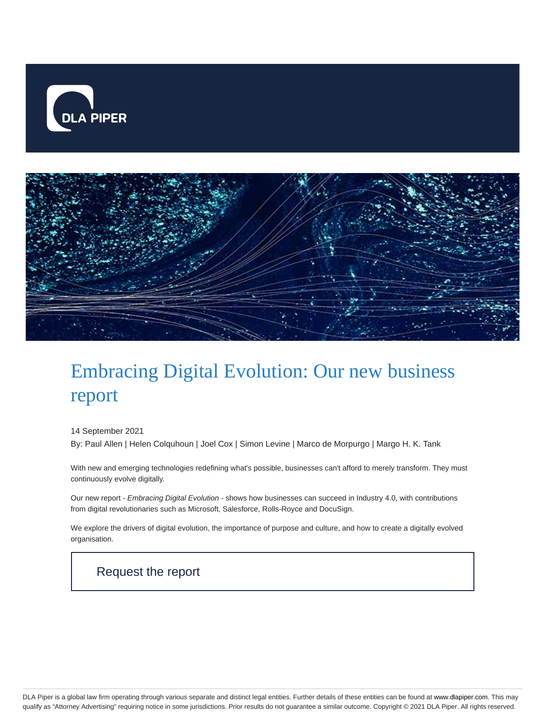



# Embracing Digital Evolution: Our new business report

#### 14 September 2021

By: Paul Allen | Helen Colquhoun | Joel Cox | Simon Levine | Marco de Morpurgo | Margo H. K. Tank

With new and emerging technologies redefining what's possible, businesses can't afford to merely transform. They must continuously evolve digitally.

Our new report - Embracing Digital Evolution - shows how businesses can succeed in Industry 4.0, with contributions from digital revolutionaries such as Microsoft, Salesforce, Rolls-Royce and DocuSign.

We explore the drivers of digital evolution, the importance of purpose and culture, and how to create a digitally evolved organisation.

## Request the report

DLA Piper is a global law firm operating through various separate and distinct legal entities. Further details of these entities can be found at www.dlapiper.com. This may qualify as "Attorney Advertising" requiring notice in some jurisdictions. Prior results do not guarantee a similar outcome. Copyright © 2021 DLA Piper. All rights reserved.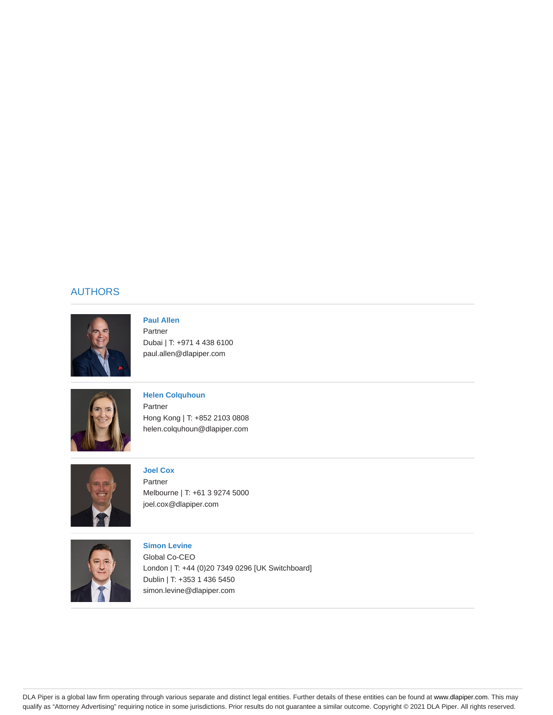#### AUTHORS



#### **Paul Allen** Partner Dubai | T: +971 4 438 6100 paul.allen@dlapiper.com



#### **Helen Colquhoun** Partner Hong Kong | T: +852 2103 0808 helen.colquhoun@dlapiper.com



## **Joel Cox**

Partner Melbourne | T: +61 3 9274 5000 joel.cox@dlapiper.com



#### **Simon Levine** Global Co-CEO London | T: +44 (0)20 7349 0296 [UK Switchboard] Dublin | T: +353 1 436 5450 simon.levine@dlapiper.com

DLA Piper is a global law firm operating through various separate and distinct legal entities. Further details of these entities can be found at www.dlapiper.com. This may qualify as "Attorney Advertising" requiring notice in some jurisdictions. Prior results do not guarantee a similar outcome. Copyright © 2021 DLA Piper. All rights reserved.